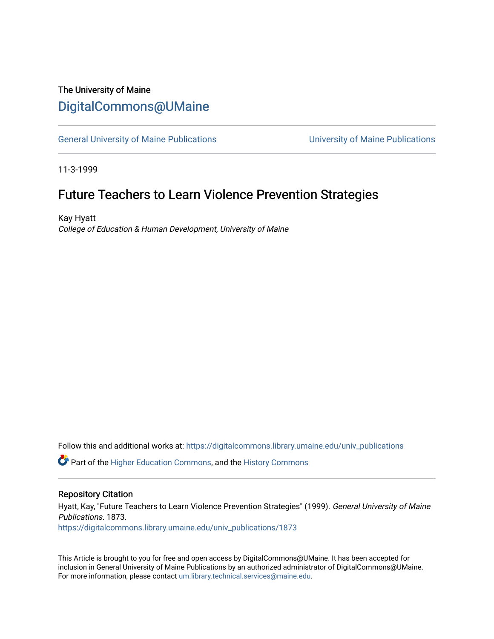# The University of Maine [DigitalCommons@UMaine](https://digitalcommons.library.umaine.edu/)

[General University of Maine Publications](https://digitalcommons.library.umaine.edu/univ_publications) [University of Maine Publications](https://digitalcommons.library.umaine.edu/umaine_publications) 

11-3-1999

## Future Teachers to Learn Violence Prevention Strategies

Kay Hyatt College of Education & Human Development, University of Maine

Follow this and additional works at: [https://digitalcommons.library.umaine.edu/univ\\_publications](https://digitalcommons.library.umaine.edu/univ_publications?utm_source=digitalcommons.library.umaine.edu%2Funiv_publications%2F1873&utm_medium=PDF&utm_campaign=PDFCoverPages) 

**C** Part of the [Higher Education Commons,](http://network.bepress.com/hgg/discipline/1245?utm_source=digitalcommons.library.umaine.edu%2Funiv_publications%2F1873&utm_medium=PDF&utm_campaign=PDFCoverPages) and the [History Commons](http://network.bepress.com/hgg/discipline/489?utm_source=digitalcommons.library.umaine.edu%2Funiv_publications%2F1873&utm_medium=PDF&utm_campaign=PDFCoverPages)

#### Repository Citation

Hyatt, Kay, "Future Teachers to Learn Violence Prevention Strategies" (1999). General University of Maine Publications. 1873.

[https://digitalcommons.library.umaine.edu/univ\\_publications/1873](https://digitalcommons.library.umaine.edu/univ_publications/1873?utm_source=digitalcommons.library.umaine.edu%2Funiv_publications%2F1873&utm_medium=PDF&utm_campaign=PDFCoverPages)

This Article is brought to you for free and open access by DigitalCommons@UMaine. It has been accepted for inclusion in General University of Maine Publications by an authorized administrator of DigitalCommons@UMaine. For more information, please contact [um.library.technical.services@maine.edu](mailto:um.library.technical.services@maine.edu).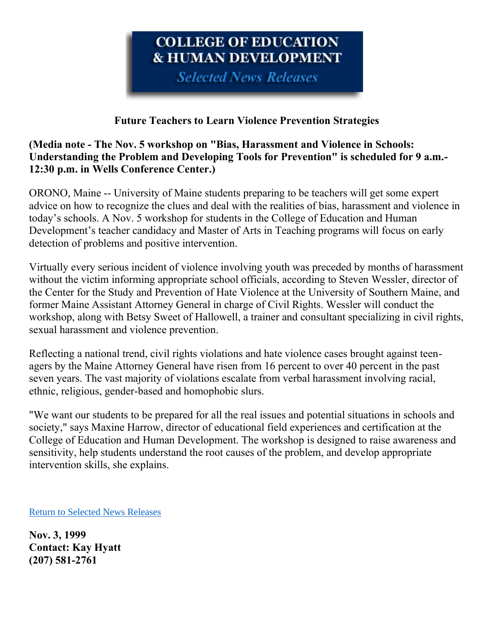# **COLLEGE OF EDUCATION & HUMAN DEVELOPMENT**

**Selected News Releases** 

### **Future Teachers to Learn Violence Prevention Strategies**

### **(Media note - The Nov. 5 workshop on "Bias, Harassment and Violence in Schools: Understanding the Problem and Developing Tools for Prevention" is scheduled for 9 a.m.- 12:30 p.m. in Wells Conference Center.)**

ORONO, Maine -- University of Maine students preparing to be teachers will get some expert advice on how to recognize the clues and deal with the realities of bias, harassment and violence in today's schools. A Nov. 5 workshop for students in the College of Education and Human Development's teacher candidacy and Master of Arts in Teaching programs will focus on early detection of problems and positive intervention.

Virtually every serious incident of violence involving youth was preceded by months of harassment without the victim informing appropriate school officials, according to Steven Wessler, director of the Center for the Study and Prevention of Hate Violence at the University of Southern Maine, and former Maine Assistant Attorney General in charge of Civil Rights. Wessler will conduct the workshop, along with Betsy Sweet of Hallowell, a trainer and consultant specializing in civil rights, sexual harassment and violence prevention.

Reflecting a national trend, civil rights violations and hate violence cases brought against teenagers by the Maine Attorney General have risen from 16 percent to over 40 percent in the past seven years. The vast majority of violations escalate from verbal harassment involving racial, ethnic, religious, gender-based and homophobic slurs.

"We want our students to be prepared for all the real issues and potential situations in schools and society," says Maxine Harrow, director of educational field experiences and certification at the College of Education and Human Development. The workshop is designed to raise awareness and sensitivity, help students understand the root causes of the problem, and develop appropriate intervention skills, she explains.

[Return to Selected News Releases](https://web.archive.org/web/19991114200527/http:/www.ume.maine.edu/~cofed/happen/selectnews.htm)

**Nov. 3, 1999 Contact: Kay Hyatt (207) 581-2761**